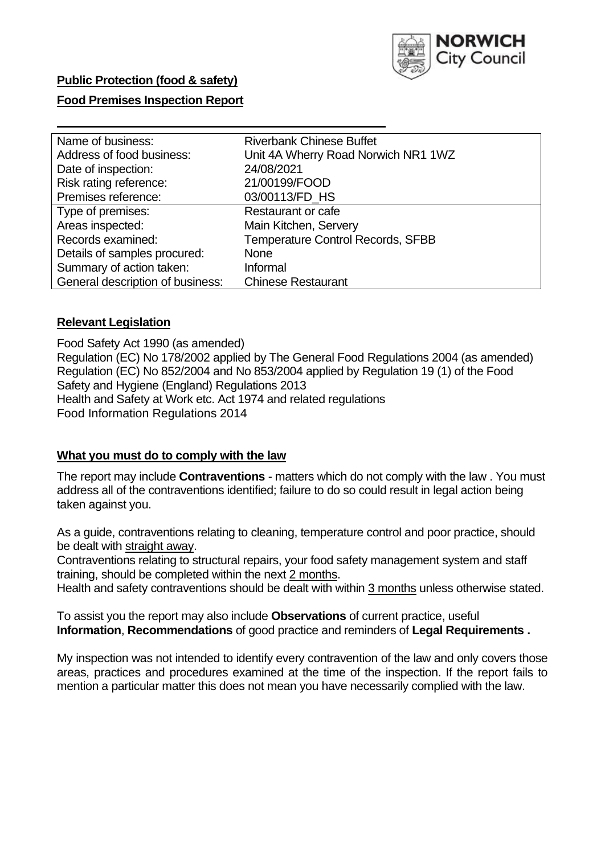

# **Food Premises Inspection Report**

| Name of business:                | <b>Riverbank Chinese Buffet</b>          |
|----------------------------------|------------------------------------------|
| Address of food business:        | Unit 4A Wherry Road Norwich NR1 1WZ      |
| Date of inspection:              | 24/08/2021                               |
| Risk rating reference:           | 21/00199/FOOD                            |
| Premises reference:              | 03/00113/FD_HS                           |
| Type of premises:                | <b>Restaurant or cafe</b>                |
| Areas inspected:                 | Main Kitchen, Servery                    |
| Records examined:                | <b>Temperature Control Records, SFBB</b> |
| Details of samples procured:     | <b>None</b>                              |
| Summary of action taken:         | Informal                                 |
| General description of business: | <b>Chinese Restaurant</b>                |

### **Relevant Legislation**

Food Safety Act 1990 (as amended) Regulation (EC) No 178/2002 applied by The General Food Regulations 2004 (as amended) Regulation (EC) No 852/2004 and No 853/2004 applied by Regulation 19 (1) of the Food Safety and Hygiene (England) Regulations 2013 Health and Safety at Work etc. Act 1974 and related regulations Food Information Regulations 2014

### **What you must do to comply with the law**

The report may include **Contraventions** - matters which do not comply with the law . You must address all of the contraventions identified; failure to do so could result in legal action being taken against you.

As a guide, contraventions relating to cleaning, temperature control and poor practice, should be dealt with straight away.

Contraventions relating to structural repairs, your food safety management system and staff training, should be completed within the next 2 months.

Health and safety contraventions should be dealt with within 3 months unless otherwise stated.

To assist you the report may also include **Observations** of current practice, useful **Information**, **Recommendations** of good practice and reminders of **Legal Requirements .**

My inspection was not intended to identify every contravention of the law and only covers those areas, practices and procedures examined at the time of the inspection. If the report fails to mention a particular matter this does not mean you have necessarily complied with the law.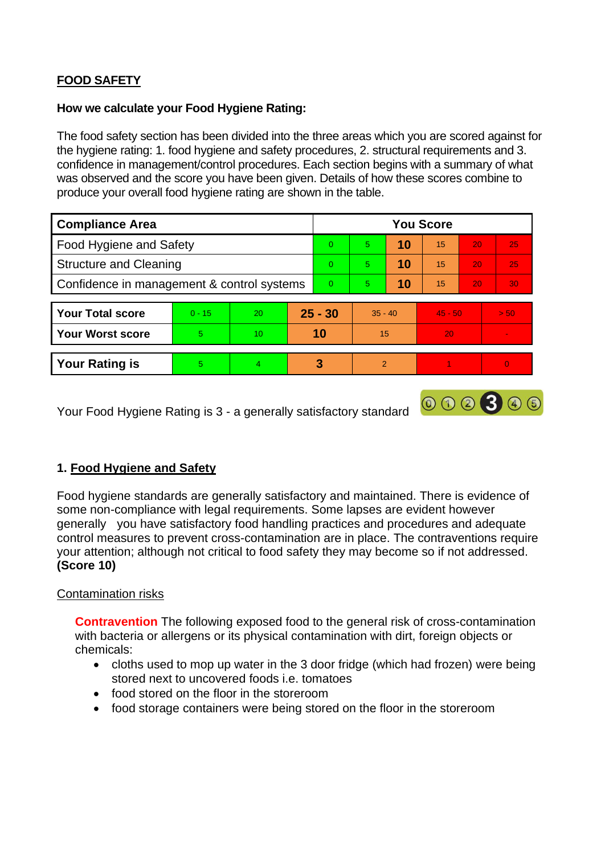# **FOOD SAFETY**

#### **How we calculate your Food Hygiene Rating:**

The food safety section has been divided into the three areas which you are scored against for the hygiene rating: 1. food hygiene and safety procedures, 2. structural requirements and 3. confidence in management/control procedures. Each section begins with a summary of what was observed and the score you have been given. Details of how these scores combine to produce your overall food hygiene rating are shown in the table.

| <b>Compliance Area</b>                     |          |    |           | <b>You Score</b> |               |    |           |                 |                |  |  |
|--------------------------------------------|----------|----|-----------|------------------|---------------|----|-----------|-----------------|----------------|--|--|
| Food Hygiene and Safety                    |          |    |           | $\Omega$         | 5             | 10 | 15        | 20              | 25             |  |  |
| <b>Structure and Cleaning</b>              |          |    | $\Omega$  | $\overline{5}$   | 10            | 15 | 20        | 25              |                |  |  |
| Confidence in management & control systems |          |    | $\Omega$  | 5                | 10            | 15 | 20        | 30 <sup>°</sup> |                |  |  |
|                                            |          |    |           |                  |               |    |           |                 |                |  |  |
| <b>Your Total score</b>                    | $0 - 15$ | 20 | $25 - 30$ |                  | $35 - 40$     |    | $45 - 50$ |                 | > 50           |  |  |
| <b>Your Worst score</b>                    | 5        | 10 | 10        |                  | 15            |    | 20        |                 |                |  |  |
|                                            |          |    |           |                  |               |    |           |                 |                |  |  |
| <b>Your Rating is</b>                      | 5        | 4  |           | 3                | $\mathcal{P}$ |    |           |                 | $\overline{0}$ |  |  |

Your Food Hygiene Rating is 3 - a generally satisfactory standard

# **1. Food Hygiene and Safety**

Food hygiene standards are generally satisfactory and maintained. There is evidence of some non-compliance with legal requirements. Some lapses are evident however generally you have satisfactory food handling practices and procedures and adequate control measures to prevent cross-contamination are in place. The contraventions require your attention; although not critical to food safety they may become so if not addressed. **(Score 10)**

000300

### Contamination risks

**Contravention** The following exposed food to the general risk of cross-contamination with bacteria or allergens or its physical contamination with dirt, foreign objects or chemicals:

- cloths used to mop up water in the 3 door fridge (which had frozen) were being stored next to uncovered foods i.e. tomatoes
- food stored on the floor in the storeroom
- food storage containers were being stored on the floor in the storeroom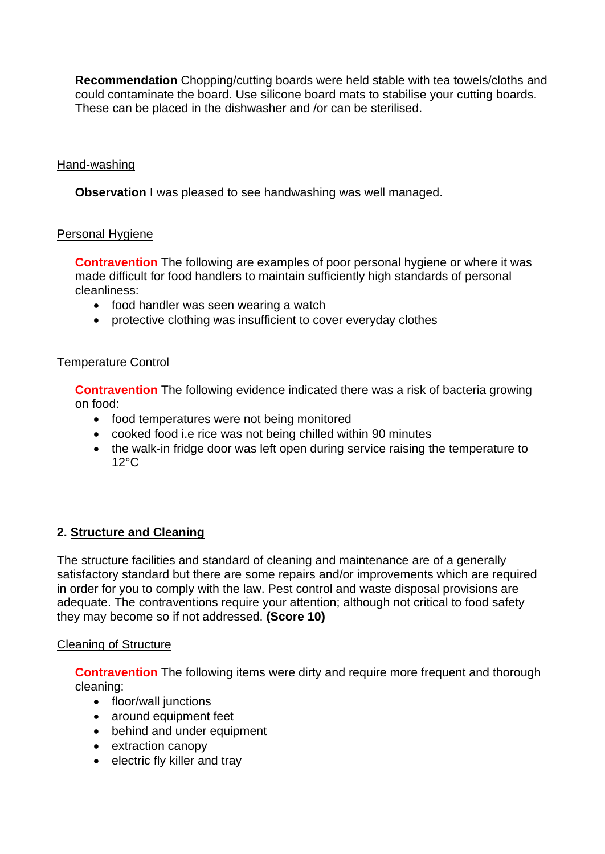**Recommendation** Chopping/cutting boards were held stable with tea towels/cloths and could contaminate the board. Use silicone board mats to stabilise your cutting boards. These can be placed in the dishwasher and /or can be sterilised.

## Hand-washing

**Observation** I was pleased to see handwashing was well managed.

# Personal Hygiene

**Contravention** The following are examples of poor personal hygiene or where it was made difficult for food handlers to maintain sufficiently high standards of personal cleanliness:

- food handler was seen wearing a watch
- protective clothing was insufficient to cover everyday clothes

### Temperature Control

**Contravention** The following evidence indicated there was a risk of bacteria growing on food:

- food temperatures were not being monitored
- cooked food i.e rice was not being chilled within 90 minutes
- the walk-in fridge door was left open during service raising the temperature to 12°C

# **2. Structure and Cleaning**

The structure facilities and standard of cleaning and maintenance are of a generally satisfactory standard but there are some repairs and/or improvements which are required in order for you to comply with the law. Pest control and waste disposal provisions are adequate. The contraventions require your attention; although not critical to food safety they may become so if not addressed. **(Score 10)**

### Cleaning of Structure

**Contravention** The following items were dirty and require more frequent and thorough cleaning:

- floor/wall junctions
- around equipment feet
- behind and under equipment
- extraction canopy
- electric fly killer and tray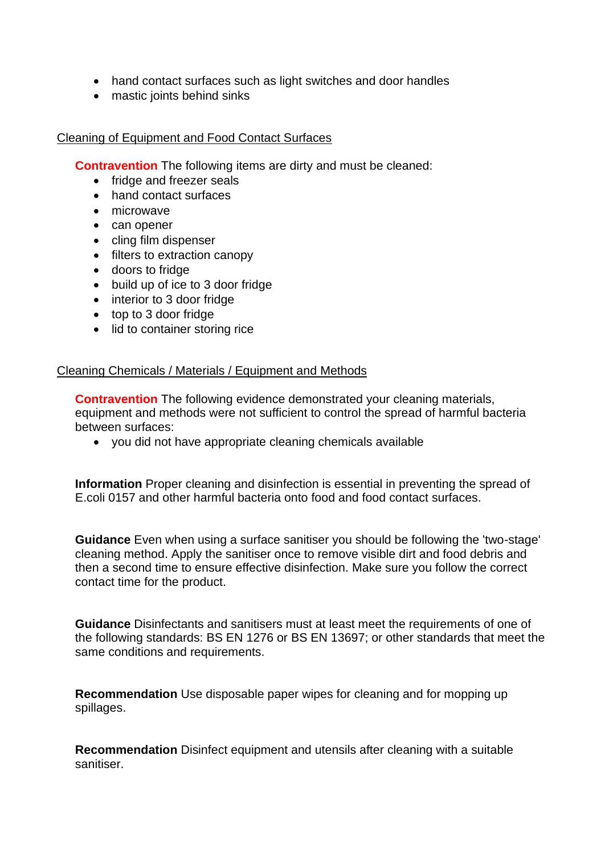- hand contact surfaces such as light switches and door handles
- mastic joints behind sinks

# Cleaning of Equipment and Food Contact Surfaces

**Contravention** The following items are dirty and must be cleaned:

- fridge and freezer seals
- hand contact surfaces
- microwave
- can opener
- cling film dispenser
- filters to extraction canopy
- doors to fridge
- build up of ice to 3 door fridge
- interior to 3 door fridge
- top to 3 door fridge
- lid to container storing rice

### Cleaning Chemicals / Materials / Equipment and Methods

**Contravention** The following evidence demonstrated your cleaning materials, equipment and methods were not sufficient to control the spread of harmful bacteria between surfaces:

• you did not have appropriate cleaning chemicals available

**Information** Proper cleaning and disinfection is essential in preventing the spread of E.coli 0157 and other harmful bacteria onto food and food contact surfaces.

**Guidance** Even when using a surface sanitiser you should be following the 'two-stage' cleaning method. Apply the sanitiser once to remove visible dirt and food debris and then a second time to ensure effective disinfection. Make sure you follow the correct contact time for the product.

**Guidance** Disinfectants and sanitisers must at least meet the requirements of one of the following standards: BS EN 1276 or BS EN 13697; or other standards that meet the same conditions and requirements.

**Recommendation** Use disposable paper wipes for cleaning and for mopping up spillages.

**Recommendation** Disinfect equipment and utensils after cleaning with a suitable sanitiser.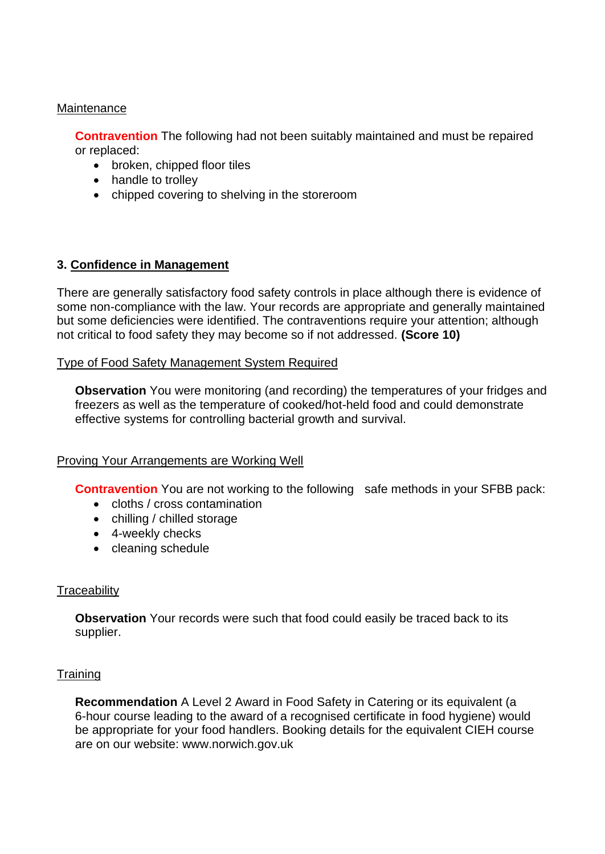#### **Maintenance**

**Contravention** The following had not been suitably maintained and must be repaired or replaced:

- broken, chipped floor tiles
- handle to trolley
- chipped covering to shelving in the storeroom

# **3. Confidence in Management**

There are generally satisfactory food safety controls in place although there is evidence of some non-compliance with the law. Your records are appropriate and generally maintained but some deficiencies were identified. The contraventions require your attention; although not critical to food safety they may become so if not addressed. **(Score 10)**

#### Type of Food Safety Management System Required

**Observation** You were monitoring (and recording) the temperatures of your fridges and freezers as well as the temperature of cooked/hot-held food and could demonstrate effective systems for controlling bacterial growth and survival.

#### Proving Your Arrangements are Working Well

**Contravention** You are not working to the following safe methods in your SFBB pack:

- cloths / cross contamination
- chilling / chilled storage
- 4-weekly checks
- cleaning schedule

### **Traceability**

**Observation** Your records were such that food could easily be traced back to its supplier.

### **Training**

**Recommendation** A Level 2 Award in Food Safety in Catering or its equivalent (a 6-hour course leading to the award of a recognised certificate in food hygiene) would be appropriate for your food handlers. Booking details for the equivalent CIEH course are on our website: www.norwich.gov.uk